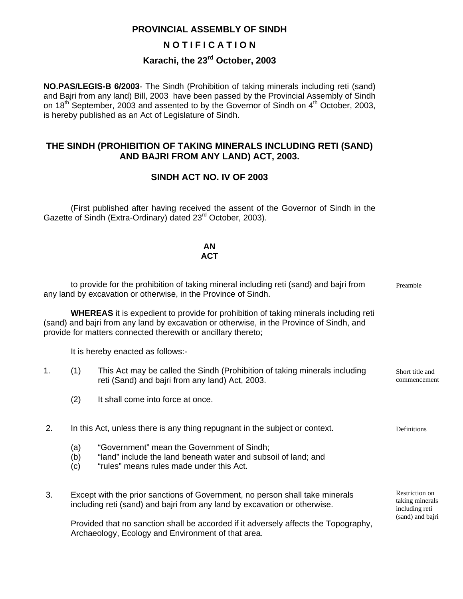#### **PROVINCIAL ASSEMBLY OF SINDH**

#### **N O T I F I C A T I O N**

# **Karachi, the 23rd October, 2003**

**NO.PAS/LEGIS-B 6/2003**- The Sindh (Prohibition of taking minerals including reti (sand) and Bajri from any land) Bill, 2003 have been passed by the Provincial Assembly of Sindh on 18<sup>th</sup> September, 2003 and assented to by the Governor of Sindh on 4<sup>th</sup> October, 2003, is hereby published as an Act of Legislature of Sindh.

#### **THE SINDH (PROHIBITION OF TAKING MINERALS INCLUDING RETI (SAND) AND BAJRI FROM ANY LAND) ACT, 2003.**

#### **SINDH ACT NO. IV OF 2003**

 (First published after having received the assent of the Governor of Sindh in the Gazette of Sindh (Extra-Ordinary) dated 23<sup>rd</sup> October, 2003).

#### **AN ACT**

|                                                                                                                                                                                                                                                          |                                                                                                                                                           | to provide for the prohibition of taking mineral including reti (sand) and bajri from<br>any land by excavation or otherwise, in the Province of Sindh.  | Preamble                        |  |  |  |
|----------------------------------------------------------------------------------------------------------------------------------------------------------------------------------------------------------------------------------------------------------|-----------------------------------------------------------------------------------------------------------------------------------------------------------|----------------------------------------------------------------------------------------------------------------------------------------------------------|---------------------------------|--|--|--|
| <b>WHEREAS</b> it is expedient to provide for prohibition of taking minerals including reti<br>(sand) and bajri from any land by excavation or otherwise, in the Province of Sindh, and<br>provide for matters connected therewith or ancillary thereto; |                                                                                                                                                           |                                                                                                                                                          |                                 |  |  |  |
|                                                                                                                                                                                                                                                          | It is hereby enacted as follows:-                                                                                                                         |                                                                                                                                                          |                                 |  |  |  |
| 1.                                                                                                                                                                                                                                                       | (1)                                                                                                                                                       | This Act may be called the Sindh (Prohibition of taking minerals including<br>reti (Sand) and bajri from any land) Act, 2003.                            | Short title and<br>commencement |  |  |  |
|                                                                                                                                                                                                                                                          | (2)                                                                                                                                                       | It shall come into force at once.                                                                                                                        |                                 |  |  |  |
| 2.                                                                                                                                                                                                                                                       |                                                                                                                                                           | In this Act, unless there is any thing repugnant in the subject or context.                                                                              | Definitions                     |  |  |  |
|                                                                                                                                                                                                                                                          | (a)<br>(b)<br>(c)                                                                                                                                         | "Government" mean the Government of Sindh;<br>"land" include the land beneath water and subsoil of land; and<br>"rules" means rules made under this Act. |                                 |  |  |  |
| 3.                                                                                                                                                                                                                                                       | Except with the prior sanctions of Government, no person shall take minerals<br>including reti (sand) and bajri from any land by excavation or otherwise. |                                                                                                                                                          |                                 |  |  |  |
|                                                                                                                                                                                                                                                          |                                                                                                                                                           | Provided that no sanction shall be accorded if it adversely affects the Topography,<br>Archaeology, Ecology and Environment of that area.                | (sand) and bajri                |  |  |  |